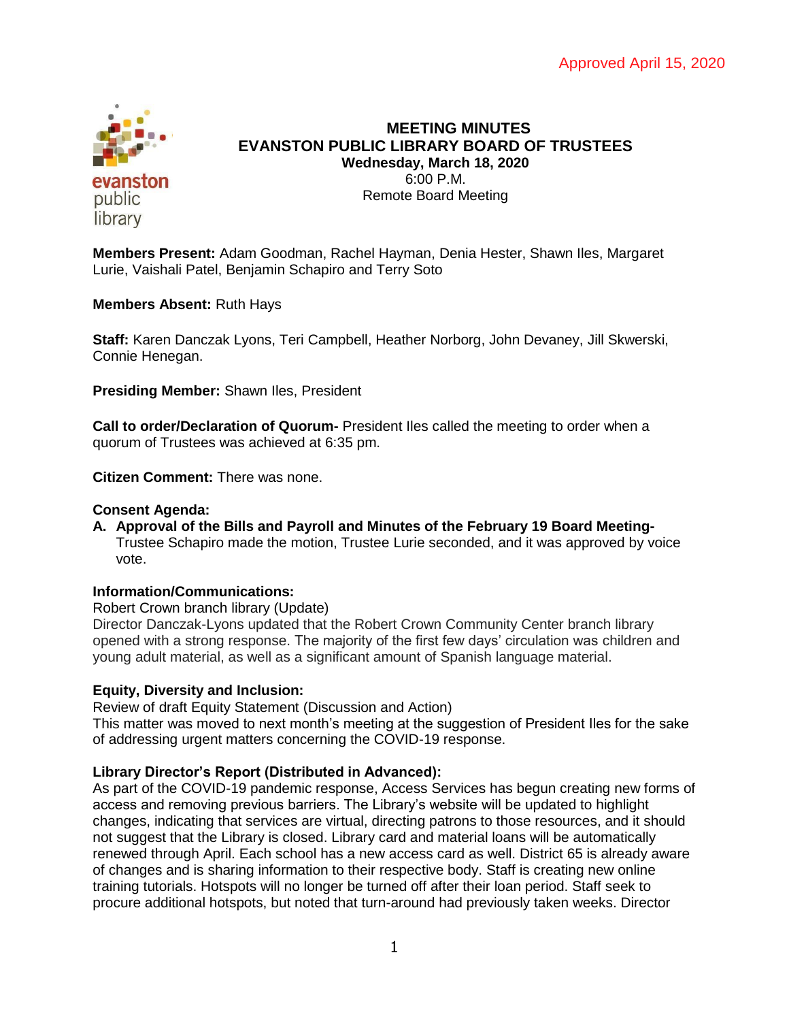

# **MEETING MINUTES EVANSTON PUBLIC LIBRARY BOARD OF TRUSTEES Wednesday, March 18, 2020** 6:00 P.M. Remote Board Meeting

**Members Present:** Adam Goodman, Rachel Hayman, Denia Hester, Shawn Iles, Margaret Lurie, Vaishali Patel, Benjamin Schapiro and Terry Soto

**Members Absent:** Ruth Hays

**Staff:** Karen Danczak Lyons, Teri Campbell, Heather Norborg, John Devaney, Jill Skwerski, Connie Henegan.

**Presiding Member:** Shawn Iles, President

**Call to order/Declaration of Quorum-** President Iles called the meeting to order when a quorum of Trustees was achieved at 6:35 pm.

**Citizen Comment:** There was none.

### **Consent Agenda:**

**A. Approval of the Bills and Payroll and Minutes of the February 19 Board Meeting-**Trustee Schapiro made the motion, Trustee Lurie seconded, and it was approved by voice vote.

## **Information/Communications:**

Robert Crown branch library (Update)

Director Danczak-Lyons updated that the Robert Crown Community Center branch library opened with a strong response. The majority of the first few days' circulation was children and young adult material, as well as a significant amount of Spanish language material.

# **Equity, Diversity and Inclusion:**

Review of draft Equity Statement (Discussion and Action)

This matter was moved to next month's meeting at the suggestion of President Iles for the sake of addressing urgent matters concerning the COVID-19 response.

# **Library Director's Report (Distributed in Advanced):**

As part of the COVID-19 pandemic response, Access Services has begun creating new forms of access and removing previous barriers. The Library's website will be updated to highlight changes, indicating that services are virtual, directing patrons to those resources, and it should not suggest that the Library is closed. Library card and material loans will be automatically renewed through April. Each school has a new access card as well. District 65 is already aware of changes and is sharing information to their respective body. Staff is creating new online training tutorials. Hotspots will no longer be turned off after their loan period. Staff seek to procure additional hotspots, but noted that turn-around had previously taken weeks. Director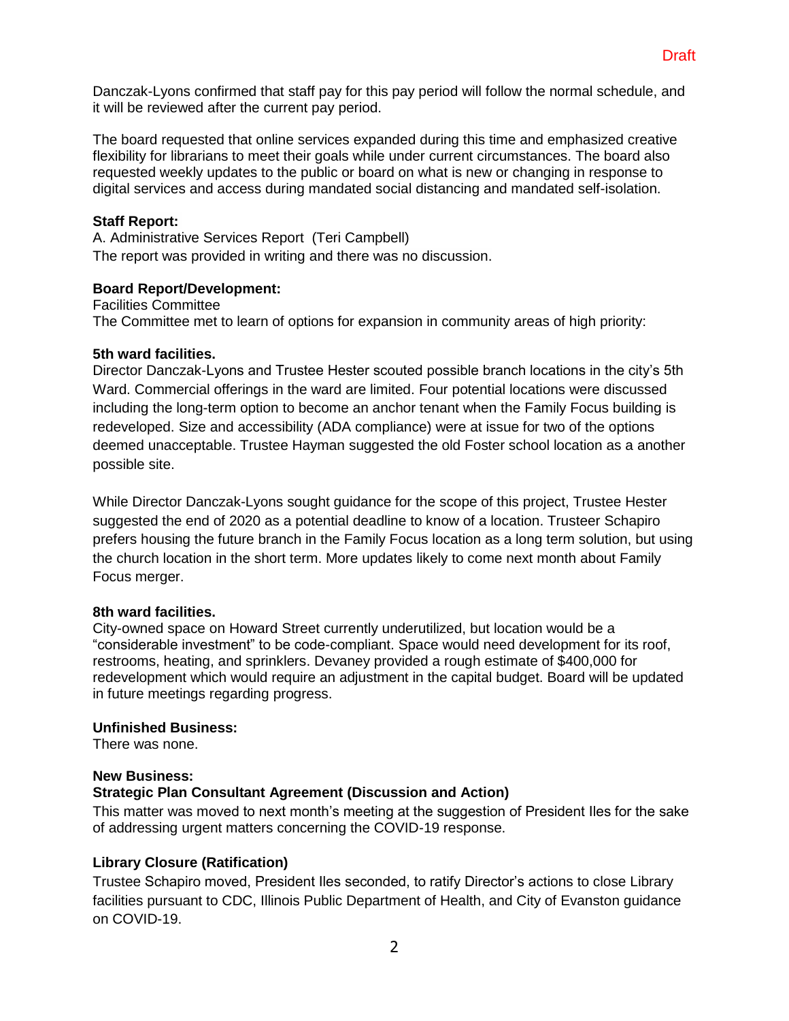Danczak-Lyons confirmed that staff pay for this pay period will follow the normal schedule, and it will be reviewed after the current pay period.

The board requested that online services expanded during this time and emphasized creative flexibility for librarians to meet their goals while under current circumstances. The board also requested weekly updates to the public or board on what is new or changing in response to digital services and access during mandated social distancing and mandated self-isolation.

### **Staff Report:**

A. Administrative Services Report (Teri Campbell) The report was provided in writing and there was no discussion.

#### **Board Report/Development:**

Facilities Committee The Committee met to learn of options for expansion in community areas of high priority:

### **5th ward facilities.**

Director Danczak-Lyons and Trustee Hester scouted possible branch locations in the city's 5th Ward. Commercial offerings in the ward are limited. Four potential locations were discussed including the long-term option to become an anchor tenant when the Family Focus building is redeveloped. Size and accessibility (ADA compliance) were at issue for two of the options deemed unacceptable. Trustee Hayman suggested the old Foster school location as a another possible site.

While Director Danczak-Lyons sought guidance for the scope of this project, Trustee Hester suggested the end of 2020 as a potential deadline to know of a location. Trusteer Schapiro prefers housing the future branch in the Family Focus location as a long term solution, but using the church location in the short term. More updates likely to come next month about Family Focus merger.

#### **8th ward facilities.**

City-owned space on Howard Street currently underutilized, but location would be a "considerable investment" to be code-compliant. Space would need development for its roof, restrooms, heating, and sprinklers. Devaney provided a rough estimate of \$400,000 for redevelopment which would require an adjustment in the capital budget. Board will be updated in future meetings regarding progress.

#### **Unfinished Business:**

There was none.

#### **New Business: Strategic Plan Consultant Agreement (Discussion and Action)**

This matter was moved to next month's meeting at the suggestion of President Iles for the sake of addressing urgent matters concerning the COVID-19 response.

# **Library Closure (Ratification)**

Trustee Schapiro moved, President Iles seconded, to ratify Director's actions to close Library facilities pursuant to CDC, Illinois Public Department of Health, and City of Evanston guidance on COVID-19.